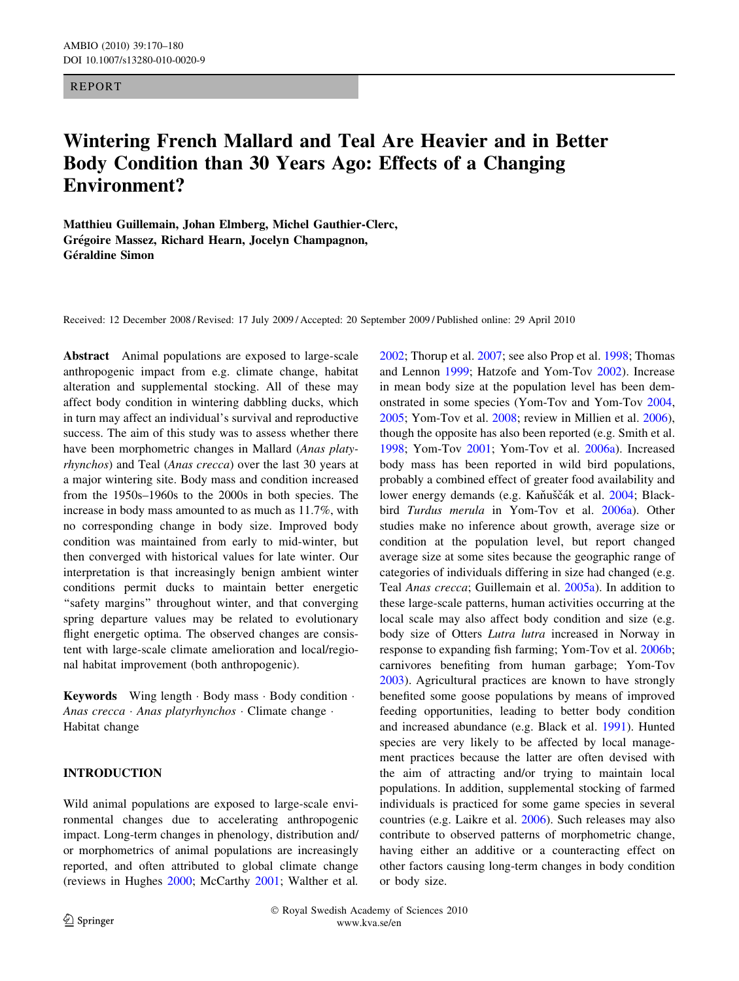## REPORT

# Wintering French Mallard and Teal Are Heavier and in Better Body Condition than 30 Years Ago: Effects of a Changing Environment?

Matthieu Guillemain, Johan Elmberg, Michel Gauthier-Clerc, Grégoire Massez, Richard Hearn, Jocelyn Champagnon, Géraldine Simon

Received: 12 December 2008 / Revised: 17 July 2009 / Accepted: 20 September 2009 / Published online: 29 April 2010

Abstract Animal populations are exposed to large-scale anthropogenic impact from e.g. climate change, habitat alteration and supplemental stocking. All of these may affect body condition in wintering dabbling ducks, which in turn may affect an individual's survival and reproductive success. The aim of this study was to assess whether there have been morphometric changes in Mallard (Anas platyrhynchos) and Teal (Anas crecca) over the last 30 years at a major wintering site. Body mass and condition increased from the 1950s–1960s to the 2000s in both species. The increase in body mass amounted to as much as 11.7%, with no corresponding change in body size. Improved body condition was maintained from early to mid-winter, but then converged with historical values for late winter. Our interpretation is that increasingly benign ambient winter conditions permit ducks to maintain better energetic "safety margins" throughout winter, and that converging spring departure values may be related to evolutionary flight energetic optima. The observed changes are consistent with large-scale climate amelioration and local/regional habitat improvement (both anthropogenic).

Keywords Wing length · Body mass · Body condition · Anas crecca · Anas platyrhynchos · Climate change · Habitat change

## INTRODUCTION

Wild animal populations are exposed to large-scale environmental changes due to accelerating anthropogenic impact. Long-term changes in phenology, distribution and/ or morphometrics of animal populations are increasingly reported, and often attributed to global climate change (reviews in Hughes [2000;](#page-9-0) McCarthy [2001;](#page-9-0) Walther et al. [2002](#page-10-0); Thorup et al. [2007;](#page-10-0) see also Prop et al. [1998;](#page-9-0) Thomas and Lennon [1999](#page-10-0); Hatzofe and Yom-Tov [2002](#page-9-0)). Increase in mean body size at the population level has been demonstrated in some species (Yom-Tov and Yom-Tov [2004,](#page-10-0) [2005](#page-10-0); Yom-Tov et al. [2008;](#page-10-0) review in Millien et al. [2006](#page-9-0)), though the opposite has also been reported (e.g. Smith et al. [1998](#page-10-0); Yom-Tov [2001](#page-10-0); Yom-Tov et al. [2006a](#page-10-0)). Increased body mass has been reported in wild bird populations, probably a combined effect of greater food availability and lower energy demands (e.g. Kaňuščák et al. [2004](#page-9-0); Blackbird Turdus merula in Yom-Tov et al. [2006a\)](#page-10-0). Other studies make no inference about growth, average size or condition at the population level, but report changed average size at some sites because the geographic range of categories of individuals differing in size had changed (e.g. Teal Anas crecca; Guillemain et al. [2005a\)](#page-9-0). In addition to these large-scale patterns, human activities occurring at the local scale may also affect body condition and size (e.g. body size of Otters Lutra lutra increased in Norway in response to expanding fish farming; Yom-Tov et al. [2006b](#page-10-0); carnivores benefiting from human garbage; Yom-Tov [2003](#page-10-0)). Agricultural practices are known to have strongly benefited some goose populations by means of improved feeding opportunities, leading to better body condition and increased abundance (e.g. Black et al. [1991](#page-9-0)). Hunted species are very likely to be affected by local management practices because the latter are often devised with the aim of attracting and/or trying to maintain local populations. In addition, supplemental stocking of farmed individuals is practiced for some game species in several countries (e.g. Laikre et al. [2006](#page-9-0)). Such releases may also contribute to observed patterns of morphometric change, having either an additive or a counteracting effect on other factors causing long-term changes in body condition or body size.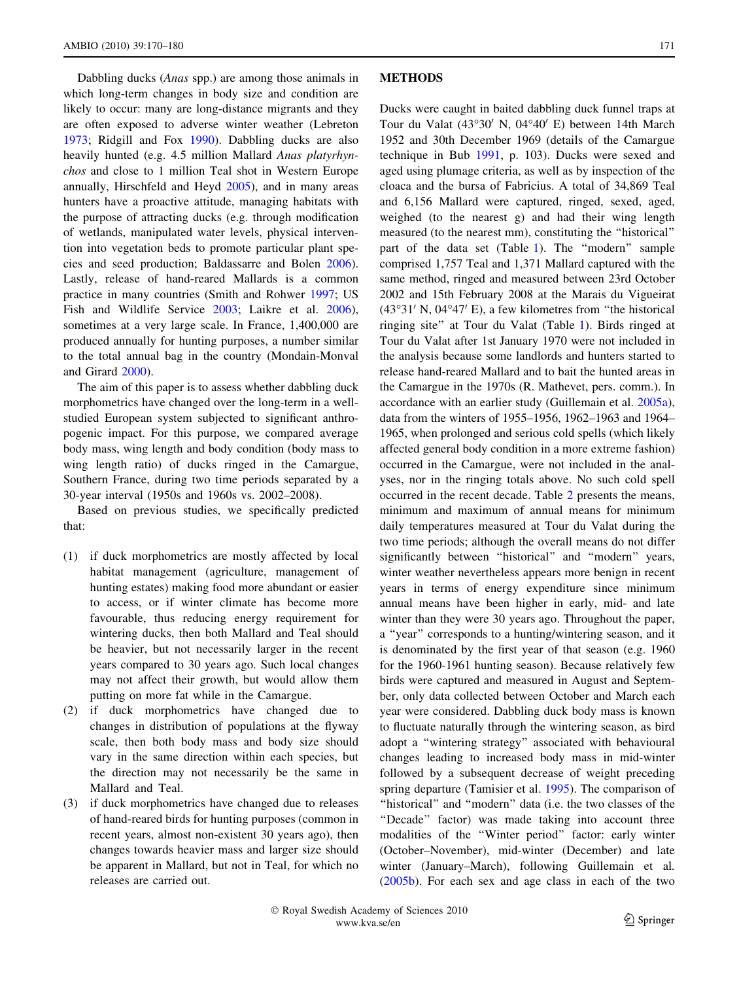Dabbling ducks (Anas spp.) are among those animals in which long-term changes in body size and condition are likely to occur: many are long-distance migrants and they are often exposed to adverse winter weather (Lebreton [1973;](#page-9-0) Ridgill and Fox [1990\)](#page-10-0). Dabbling ducks are also heavily hunted (e.g. 4.5 million Mallard Anas platyrhynchos and close to 1 million Teal shot in Western Europe annually, Hirschfeld and Heyd [2005](#page-9-0)), and in many areas hunters have a proactive attitude, managing habitats with the purpose of attracting ducks (e.g. through modification of wetlands, manipulated water levels, physical intervention into vegetation beds to promote particular plant species and seed production; Baldassarre and Bolen [2006](#page-9-0)). Lastly, release of hand-reared Mallards is a common practice in many countries (Smith and Rohwer [1997;](#page-10-0) US Fish and Wildlife Service [2003;](#page-10-0) Laikre et al. [2006](#page-9-0)), sometimes at a very large scale. In France, 1,400,000 are produced annually for hunting purposes, a number similar to the total annual bag in the country (Mondain-Monval and Girard [2000](#page-9-0)).

The aim of this paper is to assess whether dabbling duck morphometrics have changed over the long-term in a wellstudied European system subjected to significant anthropogenic impact. For this purpose, we compared average body mass, wing length and body condition (body mass to wing length ratio) of ducks ringed in the Camargue, Southern France, during two time periods separated by a 30-year interval (1950s and 1960s vs. 2002–2008).

Based on previous studies, we specifically predicted that:

- (1) if duck morphometrics are mostly affected by local habitat management (agriculture, management of hunting estates) making food more abundant or easier to access, or if winter climate has become more favourable, thus reducing energy requirement for wintering ducks, then both Mallard and Teal should be heavier, but not necessarily larger in the recent years compared to 30 years ago. Such local changes may not affect their growth, but would allow them putting on more fat while in the Camargue.
- (2) if duck morphometrics have changed due to changes in distribution of populations at the flyway scale, then both body mass and body size should vary in the same direction within each species, but the direction may not necessarily be the same in Mallard and Teal.
- (3) if duck morphometrics have changed due to releases of hand-reared birds for hunting purposes (common in recent years, almost non-existent 30 years ago), then changes towards heavier mass and larger size should be apparent in Mallard, but not in Teal, for which no releases are carried out.

#### **METHODS**

Ducks were caught in baited dabbling duck funnel traps at Tour du Valat (43°30′ N, 04°40′ E) between 14th March 1952 and 30th December 1969 (details of the Camargue technique in Bub [1991](#page-9-0), p. 103). Ducks were sexed and aged using plumage criteria, as well as by inspection of the cloaca and the bursa of Fabricius. A total of 34,869 Teal and 6,156 Mallard were captured, ringed, sexed, aged, weighed (to the nearest g) and had their wing length measured (to the nearest mm), constituting the ''historical'' part of the data set (Table [1\)](#page-2-0). The "modern" sample comprised 1,757 Teal and 1,371 Mallard captured with the same method, ringed and measured between 23rd October 2002 and 15th February 2008 at the Marais du Vigueirat  $(43°31' N, 04°47' E)$ , a few kilometres from "the historical ringing site'' at Tour du Valat (Table [1\)](#page-2-0). Birds ringed at Tour du Valat after 1st January 1970 were not included in the analysis because some landlords and hunters started to release hand-reared Mallard and to bait the hunted areas in the Camargue in the 1970s (R. Mathevet, pers. comm.). In accordance with an earlier study (Guillemain et al. [2005a](#page-9-0)), data from the winters of 1955–1956, 1962–1963 and 1964– 1965, when prolonged and serious cold spells (which likely affected general body condition in a more extreme fashion) occurred in the Camargue, were not included in the analyses, nor in the ringing totals above. No such cold spell occurred in the recent decade. Table [2](#page-2-0) presents the means, minimum and maximum of annual means for minimum daily temperatures measured at Tour du Valat during the two time periods; although the overall means do not differ significantly between "historical" and "modern" years, winter weather nevertheless appears more benign in recent years in terms of energy expenditure since minimum annual means have been higher in early, mid- and late winter than they were 30 years ago. Throughout the paper, a ''year'' corresponds to a hunting/wintering season, and it is denominated by the first year of that season (e.g. 1960 for the 1960-1961 hunting season). Because relatively few birds were captured and measured in August and September, only data collected between October and March each year were considered. Dabbling duck body mass is known to fluctuate naturally through the wintering season, as bird adopt a ''wintering strategy'' associated with behavioural changes leading to increased body mass in mid-winter followed by a subsequent decrease of weight preceding spring departure (Tamisier et al. [1995](#page-10-0)). The comparison of "historical" and "modern" data (i.e. the two classes of the "Decade" factor) was made taking into account three modalities of the ''Winter period'' factor: early winter (October–November), mid-winter (December) and late winter (January–March), following Guillemain et al. [\(2005b](#page-9-0)). For each sex and age class in each of the two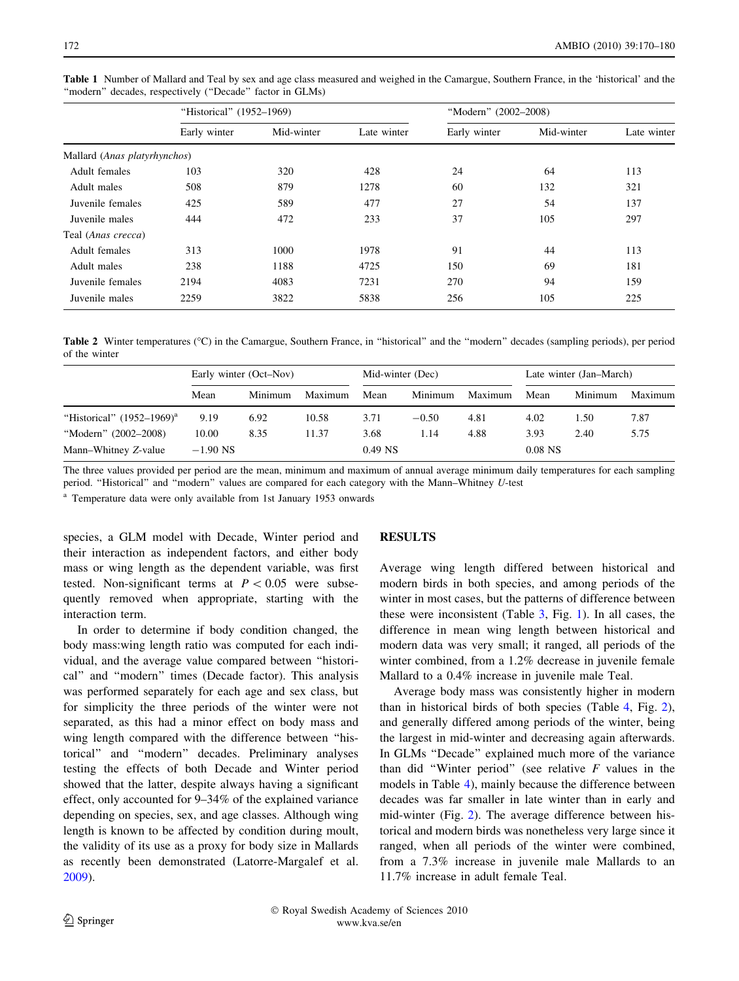|                              | "Historical" (1952–1969) |            |             | "Modern" (2002-2008) |            |             |  |
|------------------------------|--------------------------|------------|-------------|----------------------|------------|-------------|--|
|                              | Early winter             | Mid-winter | Late winter | Early winter         | Mid-winter | Late winter |  |
| Mallard (Anas platyrhynchos) |                          |            |             |                      |            |             |  |
| Adult females                | 103                      | 320        | 428         | 24                   | 64         | 113         |  |
| Adult males                  | 508                      | 879        | 1278        | 60                   | 132        | 321         |  |
| Juvenile females             | 425                      | 589        | 477         | 27                   | 54         | 137         |  |
| Juvenile males               | 444                      | 472        | 233         | 37                   | 105        | 297         |  |
| Teal (Anas crecca)           |                          |            |             |                      |            |             |  |
| Adult females                | 313                      | 1000       | 1978        | 91                   | 44         | 113         |  |
| Adult males                  | 238                      | 1188       | 4725        | 150                  | 69         | 181         |  |
| Juvenile females             | 2194                     | 4083       | 7231        | 270                  | 94         | 159         |  |
| Juvenile males               | 2259                     | 3822       | 5838        | 256                  | 105        | 225         |  |

<span id="page-2-0"></span>Table 1 Number of Mallard and Teal by sex and age class measured and weighed in the Camargue, Southern France, in the 'historical' and the ''modern'' decades, respectively (''Decade'' factor in GLMs)

Table 2 Winter temperatures (°C) in the Camargue, Southern France, in "historical" and the "modern" decades (sampling periods), per period of the winter

|                                  | Early winter (Oct–Nov) |         |         | Mid-winter (Dec) |         |         | Late winter (Jan–March) |         |         |
|----------------------------------|------------------------|---------|---------|------------------|---------|---------|-------------------------|---------|---------|
|                                  | Mean                   | Minimum | Maximum | Mean             | Minimum | Maximum | Mean                    | Minimum | Maximum |
| "Historical" $(1952 - 1969)^{a}$ | 9.19                   | 6.92    | 10.58   | 3.71             | $-0.50$ | 4.81    | 4.02                    | 1.50    | 7.87    |
| "Modern" (2002–2008)             | 10.00                  | 8.35    | 11.37   | 3.68             | 1.14    | 4.88    | 3.93                    | 2.40    | 5.75    |
| Mann-Whitney Z-value             | $-1.90$ NS             |         |         | $0.49$ NS        |         |         | $0.08$ NS               |         |         |

The three values provided per period are the mean, minimum and maximum of annual average minimum daily temperatures for each sampling period. "Historical" and "modern" values are compared for each category with the Mann–Whitney U-test

<sup>a</sup> Temperature data were only available from 1st January 1953 onwards

species, a GLM model with Decade, Winter period and their interaction as independent factors, and either body mass or wing length as the dependent variable, was first tested. Non-significant terms at  $P < 0.05$  were subsequently removed when appropriate, starting with the interaction term.

In order to determine if body condition changed, the body mass:wing length ratio was computed for each individual, and the average value compared between ''historical'' and ''modern'' times (Decade factor). This analysis was performed separately for each age and sex class, but for simplicity the three periods of the winter were not separated, as this had a minor effect on body mass and wing length compared with the difference between ''historical'' and ''modern'' decades. Preliminary analyses testing the effects of both Decade and Winter period showed that the latter, despite always having a significant effect, only accounted for 9–34% of the explained variance depending on species, sex, and age classes. Although wing length is known to be affected by condition during moult, the validity of its use as a proxy for body size in Mallards as recently been demonstrated (Latorre-Margalef et al. [2009\)](#page-9-0).

## RESULTS

Average wing length differed between historical and modern birds in both species, and among periods of the winter in most cases, but the patterns of difference between these were inconsistent (Table [3](#page-3-0), Fig. [1\)](#page-4-0). In all cases, the difference in mean wing length between historical and modern data was very small; it ranged, all periods of the winter combined, from a 1.2% decrease in juvenile female Mallard to a 0.4% increase in juvenile male Teal.

Average body mass was consistently higher in modern than in historical birds of both species (Table [4,](#page-5-0) Fig. [2](#page-6-0)), and generally differed among periods of the winter, being the largest in mid-winter and decreasing again afterwards. In GLMs ''Decade'' explained much more of the variance than did "Winter period" (see relative  $F$  values in the models in Table [4](#page-5-0)), mainly because the difference between decades was far smaller in late winter than in early and mid-winter (Fig. [2](#page-6-0)). The average difference between historical and modern birds was nonetheless very large since it ranged, when all periods of the winter were combined, from a 7.3% increase in juvenile male Mallards to an 11.7% increase in adult female Teal.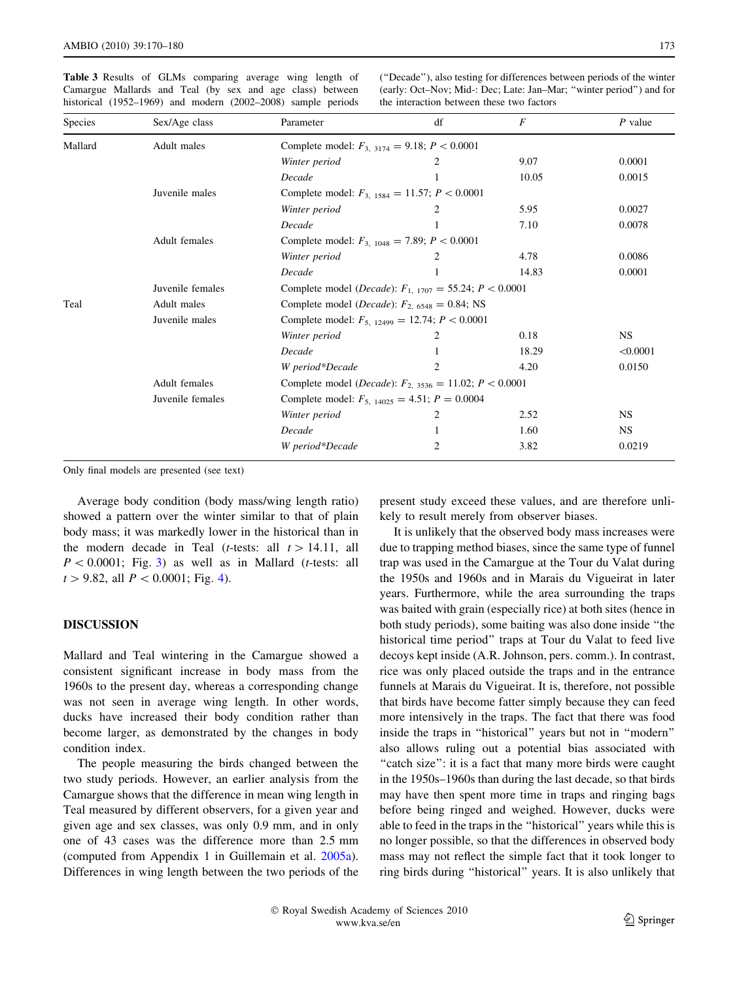<span id="page-3-0"></span>Table 3 Results of GLMs comparing average wing length of Camargue Mallards and Teal (by sex and age class) between historical (1952–1969) and modern (2002–2008) sample periods

(''Decade''), also testing for differences between periods of the winter (early: Oct–Nov; Mid-: Dec; Late: Jan–Mar; ''winter period'') and for the interaction between these two factors

| Species | Sex/Age class    | Parameter                                                              | df             | $\boldsymbol{F}$ | $P$ value |  |  |  |
|---------|------------------|------------------------------------------------------------------------|----------------|------------------|-----------|--|--|--|
| Mallard | Adult males      | Complete model: $F_{3, 3174} = 9.18; P < 0.0001$                       |                |                  |           |  |  |  |
|         |                  | Winter period                                                          |                | 9.07             | 0.0001    |  |  |  |
|         |                  | Decade                                                                 |                | 10.05            | 0.0015    |  |  |  |
|         | Juvenile males   | Complete model: $F_{3, 1584} = 11.57$ ; $P < 0.0001$                   |                |                  |           |  |  |  |
|         |                  | Winter period                                                          |                | 5.95             | 0.0027    |  |  |  |
|         |                  | Decade                                                                 |                | 7.10             | 0.0078    |  |  |  |
|         | Adult females    | Complete model: $F_{3, 1048} = 7.89$ ; $P < 0.0001$                    |                |                  |           |  |  |  |
|         |                  | Winter period                                                          |                | 4.78             | 0.0086    |  |  |  |
|         |                  | Decade                                                                 |                | 14.83            | 0.0001    |  |  |  |
|         | Juvenile females | Complete model ( <i>Decade</i> ): $F_{1, 1707} = 55.24$ ; $P < 0.0001$ |                |                  |           |  |  |  |
| Teal    | Adult males      | Complete model ( <i>Decade</i> ): $F_{2,6548} = 0.84$ ; NS             |                |                  |           |  |  |  |
|         | Juvenile males   | Complete model: $F_{5, 12499} = 12.74$ ; $P < 0.0001$                  |                |                  |           |  |  |  |
|         |                  | Winter period                                                          |                | 0.18             | <b>NS</b> |  |  |  |
|         |                  | Decade                                                                 |                | 18.29            | < 0.0001  |  |  |  |
|         |                  | W period*Decade                                                        | $\mathfrak{D}$ | 4.20             | 0.0150    |  |  |  |
|         | Adult females    | Complete model ( <i>Decade</i> ): $F_{2, 3536} = 11.02$ ; $P < 0.0001$ |                |                  |           |  |  |  |
|         | Juvenile females | Complete model: $F_{5, 14025} = 4.51$ ; $P = 0.0004$                   |                |                  |           |  |  |  |
|         |                  | Winter period                                                          |                | 2.52             | NS.       |  |  |  |
|         |                  | Decade                                                                 |                | 1.60             | <b>NS</b> |  |  |  |
|         |                  | W period*Decade                                                        | 2              | 3.82             | 0.0219    |  |  |  |

Only final models are presented (see text)

Average body condition (body mass/wing length ratio) showed a pattern over the winter similar to that of plain body mass; it was markedly lower in the historical than in the modern decade in Teal (*t*-tests: all  $t > 14.11$ , all  $P < 0.0001$ ; Fig. [3\)](#page-7-0) as well as in Mallard (t-tests: all  $t > 9.82$ , all  $P < 0.0001$ ; Fig. [4\)](#page-7-0).

## DISCUSSION

Mallard and Teal wintering in the Camargue showed a consistent significant increase in body mass from the 1960s to the present day, whereas a corresponding change was not seen in average wing length. In other words, ducks have increased their body condition rather than become larger, as demonstrated by the changes in body condition index.

The people measuring the birds changed between the two study periods. However, an earlier analysis from the Camargue shows that the difference in mean wing length in Teal measured by different observers, for a given year and given age and sex classes, was only 0.9 mm, and in only one of 43 cases was the difference more than 2.5 mm (computed from Appendix 1 in Guillemain et al. [2005a](#page-9-0)). Differences in wing length between the two periods of the present study exceed these values, and are therefore unlikely to result merely from observer biases.

It is unlikely that the observed body mass increases were due to trapping method biases, since the same type of funnel trap was used in the Camargue at the Tour du Valat during the 1950s and 1960s and in Marais du Vigueirat in later years. Furthermore, while the area surrounding the traps was baited with grain (especially rice) at both sites (hence in both study periods), some baiting was also done inside ''the historical time period'' traps at Tour du Valat to feed live decoys kept inside (A.R. Johnson, pers. comm.). In contrast, rice was only placed outside the traps and in the entrance funnels at Marais du Vigueirat. It is, therefore, not possible that birds have become fatter simply because they can feed more intensively in the traps. The fact that there was food inside the traps in ''historical'' years but not in ''modern'' also allows ruling out a potential bias associated with "catch size": it is a fact that many more birds were caught in the 1950s–1960s than during the last decade, so that birds may have then spent more time in traps and ringing bags before being ringed and weighed. However, ducks were able to feed in the traps in the ''historical'' years while this is no longer possible, so that the differences in observed body mass may not reflect the simple fact that it took longer to ring birds during ''historical'' years. It is also unlikely that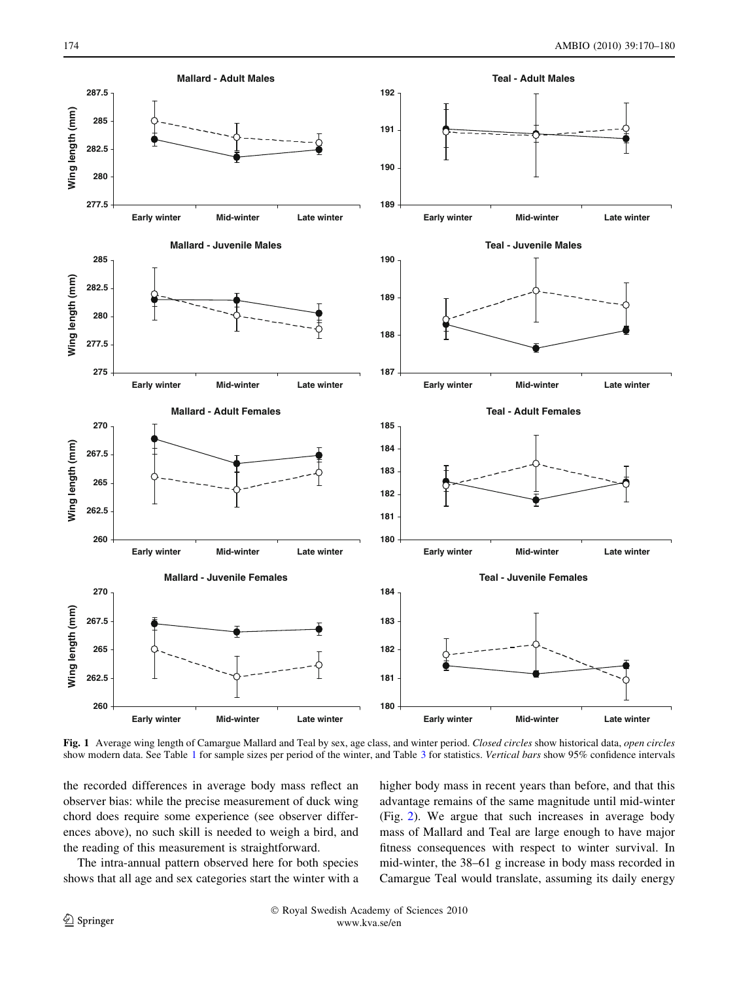<span id="page-4-0"></span>

Fig. 1 Average wing length of Camargue Mallard and Teal by sex, age class, and winter period. Closed circles show historical data, open circles show modern data. See Table [1](#page-2-0) for sample sizes per period of the winter, and Table [3](#page-3-0) for statistics. Vertical bars show 95% confidence intervals

the recorded differences in average body mass reflect an observer bias: while the precise measurement of duck wing chord does require some experience (see observer differences above), no such skill is needed to weigh a bird, and the reading of this measurement is straightforward.

The intra-annual pattern observed here for both species shows that all age and sex categories start the winter with a higher body mass in recent years than before, and that this advantage remains of the same magnitude until mid-winter (Fig. [2\)](#page-6-0). We argue that such increases in average body mass of Mallard and Teal are large enough to have major fitness consequences with respect to winter survival. In mid-winter, the 38–61 g increase in body mass recorded in Camargue Teal would translate, assuming its daily energy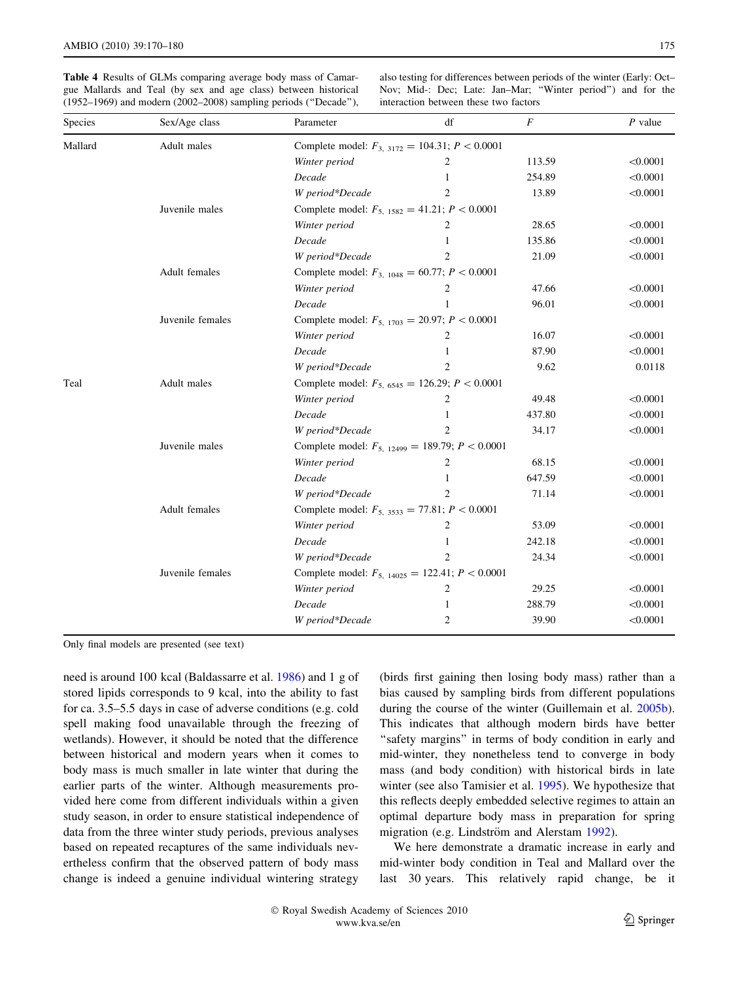<span id="page-5-0"></span>Table 4 Results of GLMs comparing average body mass of Camargue Mallards and Teal (by sex and age class) between historical (1952–1969) and modern (2002–2008) sampling periods (''Decade''),

also testing for differences between periods of the winter (Early: Oct– Nov; Mid-: Dec; Late: Jan–Mar; ''Winter period'') and for the interaction between these two factors

| Species | Sex/Age class    | Parameter                                              | df                                                   | $\boldsymbol{F}$ | $P$ value |  |  |  |
|---------|------------------|--------------------------------------------------------|------------------------------------------------------|------------------|-----------|--|--|--|
| Mallard | Adult males      | Complete model: $F_{3, 3172} = 104.31$ ; $P < 0.0001$  |                                                      |                  |           |  |  |  |
|         |                  | Winter period                                          | 2                                                    | 113.59           | < 0.0001  |  |  |  |
|         |                  | Decade                                                 |                                                      | 254.89           | < 0.0001  |  |  |  |
|         |                  | W period*Decade                                        | $\overline{c}$                                       | 13.89            | < 0.0001  |  |  |  |
|         | Juvenile males   |                                                        | Complete model: $F_{5, 1582} = 41.21$ ; $P < 0.0001$ |                  |           |  |  |  |
|         |                  | Winter period                                          | 2                                                    | 28.65            | < 0.0001  |  |  |  |
|         |                  | Decade                                                 |                                                      | 135.86           | < 0.0001  |  |  |  |
|         |                  | W period*Decade                                        | $\overline{2}$                                       | 21.09            | < 0.0001  |  |  |  |
|         | Adult females    | Complete model: $F_{3, 1048} = 60.77$ ; $P < 0.0001$   |                                                      |                  |           |  |  |  |
|         |                  | Winter period                                          | 2                                                    | 47.66            | < 0.0001  |  |  |  |
|         |                  | Decade                                                 | 1                                                    | 96.01            | < 0.0001  |  |  |  |
|         | Juvenile females | Complete model: $F_{5, 1703} = 20.97; P < 0.0001$      |                                                      |                  |           |  |  |  |
|         |                  | Winter period                                          | 2                                                    | 16.07            | < 0.0001  |  |  |  |
|         |                  | Decade                                                 | 1                                                    | 87.90            | < 0.0001  |  |  |  |
|         |                  | W period*Decade                                        | $\overline{2}$                                       | 9.62             | 0.0118    |  |  |  |
| Teal    | Adult males      | Complete model: $F_{5,6545} = 126.29$ ; $P < 0.0001$   |                                                      |                  |           |  |  |  |
|         |                  | Winter period                                          | 2                                                    | 49.48            | < 0.0001  |  |  |  |
|         |                  | Decade                                                 | 1                                                    | 437.80           | < 0.0001  |  |  |  |
|         |                  | W period*Decade                                        | $\overline{c}$                                       | 34.17            | < 0.0001  |  |  |  |
|         | Juvenile males   | Complete model: $F_{5, 12499} = 189.79$ ; $P < 0.0001$ |                                                      |                  |           |  |  |  |
|         |                  | Winter period                                          | 2                                                    | 68.15            | < 0.0001  |  |  |  |
|         |                  | Decade                                                 |                                                      | 647.59           | < 0.0001  |  |  |  |
|         |                  | W period*Decade                                        | $\overline{2}$                                       | 71.14            | < 0.0001  |  |  |  |
|         | Adult females    | Complete model: $F_{5, 3533} = 77.81$ ; $P < 0.0001$   |                                                      |                  |           |  |  |  |
|         |                  | Winter period                                          | 2                                                    | 53.09            | < 0.0001  |  |  |  |
|         |                  | Decade                                                 | 1                                                    | 242.18           | < 0.0001  |  |  |  |
|         |                  | W period*Decade                                        | $\overline{c}$                                       | 24.34            | < 0.0001  |  |  |  |
|         | Juvenile females | Complete model: $F_{5, 14025} = 122.41$ ; $P < 0.0001$ |                                                      |                  |           |  |  |  |
|         |                  | Winter period                                          | $\overline{2}$                                       | 29.25            | < 0.0001  |  |  |  |
|         |                  | Decade                                                 | 1                                                    | 288.79           | < 0.0001  |  |  |  |
|         |                  | W period*Decade                                        | $\overline{2}$                                       | 39.90            | < 0.0001  |  |  |  |

Only final models are presented (see text)

need is around 100 kcal (Baldassarre et al. [1986\)](#page-9-0) and 1 g of stored lipids corresponds to 9 kcal, into the ability to fast for ca. 3.5–5.5 days in case of adverse conditions (e.g. cold spell making food unavailable through the freezing of wetlands). However, it should be noted that the difference between historical and modern years when it comes to body mass is much smaller in late winter that during the earlier parts of the winter. Although measurements provided here come from different individuals within a given study season, in order to ensure statistical independence of data from the three winter study periods, previous analyses based on repeated recaptures of the same individuals nevertheless confirm that the observed pattern of body mass change is indeed a genuine individual wintering strategy

(birds first gaining then losing body mass) rather than a bias caused by sampling birds from different populations during the course of the winter (Guillemain et al. [2005b](#page-9-0)). This indicates that although modern birds have better "safety margins" in terms of body condition in early and mid-winter, they nonetheless tend to converge in body mass (and body condition) with historical birds in late winter (see also Tamisier et al. [1995](#page-10-0)). We hypothesize that this reflects deeply embedded selective regimes to attain an optimal departure body mass in preparation for spring migration (e.g. Lindström and Alerstam [1992](#page-9-0)).

We here demonstrate a dramatic increase in early and mid-winter body condition in Teal and Mallard over the last 30 years. This relatively rapid change, be it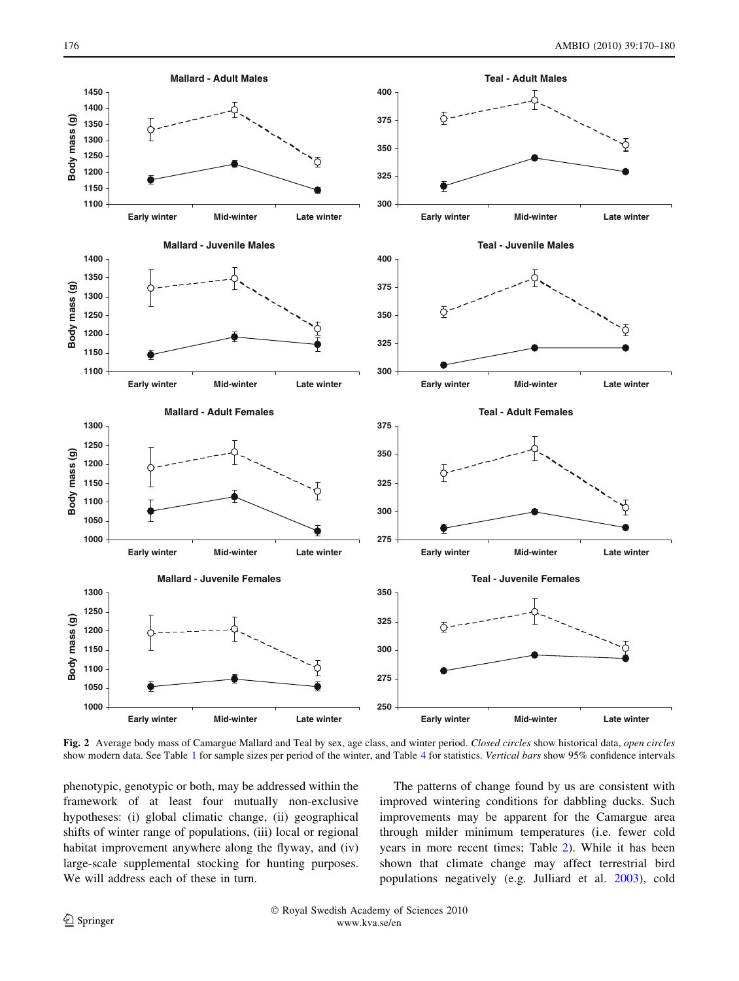<span id="page-6-0"></span>

Fig. 2 Average body mass of Camargue Mallard and Teal by sex, age class, and winter period. Closed circles show historical data, open circles show modern data. See Table [1](#page-2-0) for sample sizes per period of the winter, and Table [4](#page-5-0) for statistics. Vertical bars show 95% confidence intervals

phenotypic, genotypic or both, may be addressed within the framework of at least four mutually non-exclusive hypotheses: (i) global climatic change, (ii) geographical shifts of winter range of populations, (iii) local or regional habitat improvement anywhere along the flyway, and (iv) large-scale supplemental stocking for hunting purposes. We will address each of these in turn.

The patterns of change found by us are consistent with improved wintering conditions for dabbling ducks. Such improvements may be apparent for the Camargue area through milder minimum temperatures (i.e. fewer cold years in more recent times; Table [2](#page-2-0)). While it has been shown that climate change may affect terrestrial bird populations negatively (e.g. Julliard et al. [2003](#page-9-0)), cold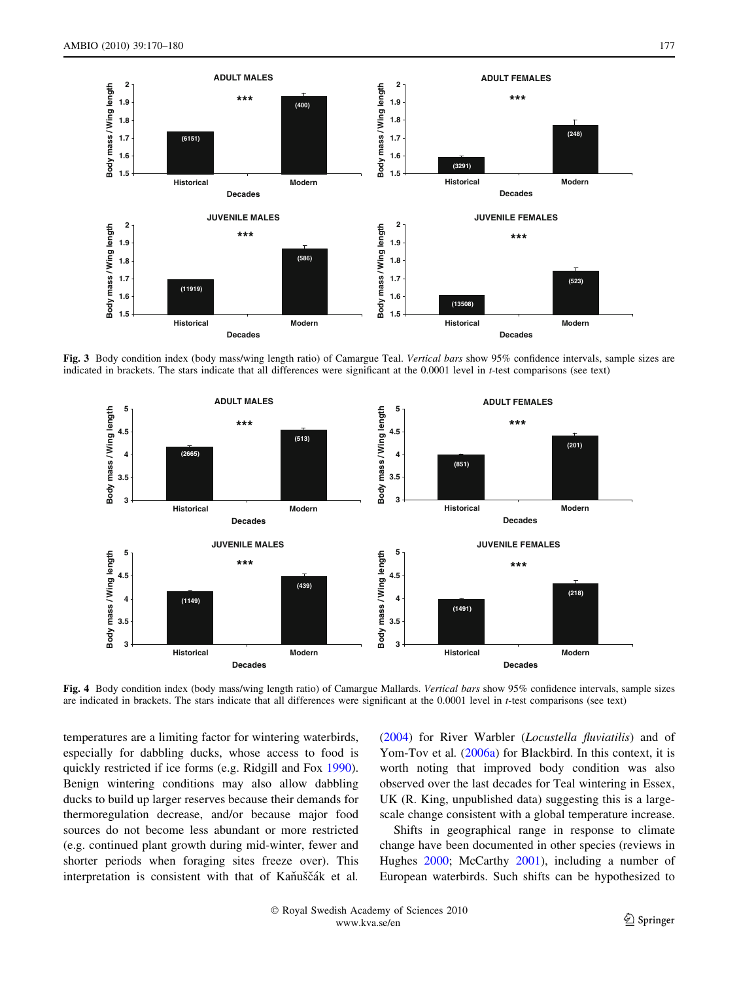<span id="page-7-0"></span>

Fig. 3 Body condition index (body mass/wing length ratio) of Camargue Teal. Vertical bars show 95% confidence intervals, sample sizes are indicated in brackets. The stars indicate that all differences were significant at the 0.0001 level in t-test comparisons (see text)



Fig. 4 Body condition index (body mass/wing length ratio) of Camargue Mallards. Vertical bars show 95% confidence intervals, sample sizes are indicated in brackets. The stars indicate that all differences were significant at the 0.0001 level in t-test comparisons (see text)

temperatures are a limiting factor for wintering waterbirds, especially for dabbling ducks, whose access to food is quickly restricted if ice forms (e.g. Ridgill and Fox [1990](#page-10-0)). Benign wintering conditions may also allow dabbling ducks to build up larger reserves because their demands for thermoregulation decrease, and/or because major food sources do not become less abundant or more restricted (e.g. continued plant growth during mid-winter, fewer and shorter periods when foraging sites freeze over). This interpretation is consistent with that of Kaňuščák et al.

[\(2004](#page-9-0)) for River Warbler (Locustella fluviatilis) and of Yom-Tov et al. ([2006a](#page-10-0)) for Blackbird. In this context, it is worth noting that improved body condition was also observed over the last decades for Teal wintering in Essex, UK (R. King, unpublished data) suggesting this is a largescale change consistent with a global temperature increase.

Shifts in geographical range in response to climate change have been documented in other species (reviews in Hughes [2000;](#page-9-0) McCarthy [2001\)](#page-9-0), including a number of European waterbirds. Such shifts can be hypothesized to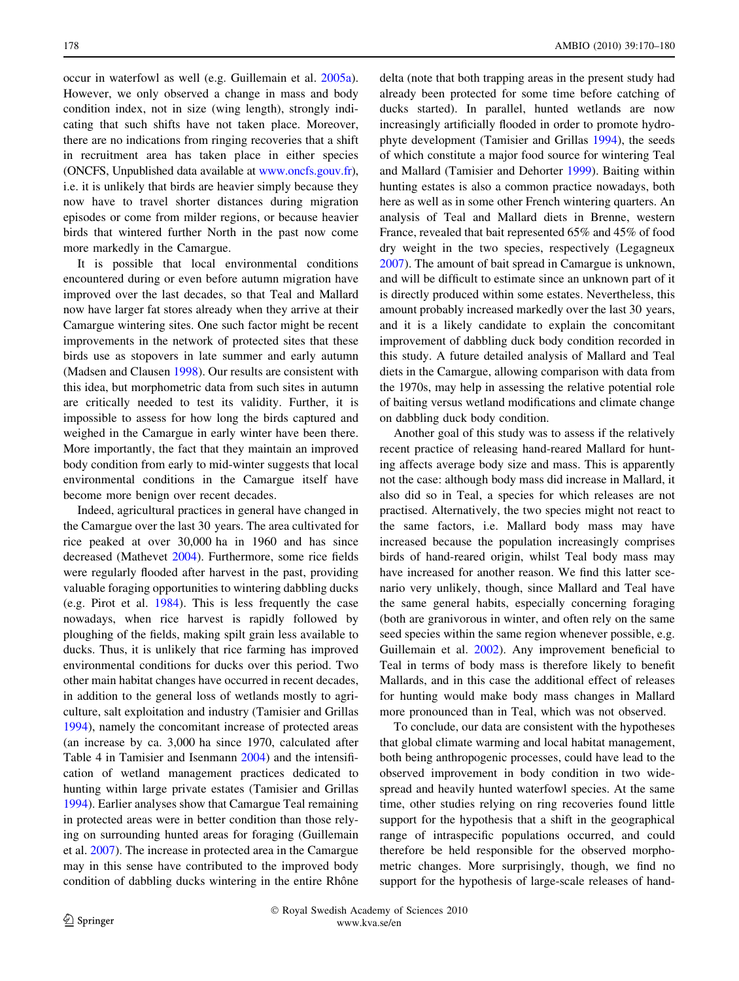occur in waterfowl as well (e.g. Guillemain et al. [2005a](#page-9-0)). However, we only observed a change in mass and body condition index, not in size (wing length), strongly indicating that such shifts have not taken place. Moreover, there are no indications from ringing recoveries that a shift in recruitment area has taken place in either species (ONCFS, Unpublished data available at [www.oncfs.gouv.fr](http://www.oncfs.gouv.fr)), i.e. it is unlikely that birds are heavier simply because they now have to travel shorter distances during migration episodes or come from milder regions, or because heavier birds that wintered further North in the past now come more markedly in the Camargue.

It is possible that local environmental conditions encountered during or even before autumn migration have improved over the last decades, so that Teal and Mallard now have larger fat stores already when they arrive at their Camargue wintering sites. One such factor might be recent improvements in the network of protected sites that these birds use as stopovers in late summer and early autumn (Madsen and Clausen [1998\)](#page-9-0). Our results are consistent with this idea, but morphometric data from such sites in autumn are critically needed to test its validity. Further, it is impossible to assess for how long the birds captured and weighed in the Camargue in early winter have been there. More importantly, the fact that they maintain an improved body condition from early to mid-winter suggests that local environmental conditions in the Camargue itself have become more benign over recent decades.

Indeed, agricultural practices in general have changed in the Camargue over the last 30 years. The area cultivated for rice peaked at over 30,000 ha in 1960 and has since decreased (Mathevet [2004\)](#page-9-0). Furthermore, some rice fields were regularly flooded after harvest in the past, providing valuable foraging opportunities to wintering dabbling ducks (e.g. Pirot et al. [1984](#page-9-0)). This is less frequently the case nowadays, when rice harvest is rapidly followed by ploughing of the fields, making spilt grain less available to ducks. Thus, it is unlikely that rice farming has improved environmental conditions for ducks over this period. Two other main habitat changes have occurred in recent decades, in addition to the general loss of wetlands mostly to agriculture, salt exploitation and industry (Tamisier and Grillas [1994\)](#page-10-0), namely the concomitant increase of protected areas (an increase by ca. 3,000 ha since 1970, calculated after Table 4 in Tamisier and Isenmann [2004](#page-10-0)) and the intensification of wetland management practices dedicated to hunting within large private estates (Tamisier and Grillas [1994\)](#page-10-0). Earlier analyses show that Camargue Teal remaining in protected areas were in better condition than those relying on surrounding hunted areas for foraging (Guillemain et al. [2007\)](#page-9-0). The increase in protected area in the Camargue may in this sense have contributed to the improved body condition of dabbling ducks wintering in the entire Rhône delta (note that both trapping areas in the present study had already been protected for some time before catching of ducks started). In parallel, hunted wetlands are now increasingly artificially flooded in order to promote hydrophyte development (Tamisier and Grillas [1994\)](#page-10-0), the seeds of which constitute a major food source for wintering Teal and Mallard (Tamisier and Dehorter [1999](#page-10-0)). Baiting within hunting estates is also a common practice nowadays, both here as well as in some other French wintering quarters. An analysis of Teal and Mallard diets in Brenne, western France, revealed that bait represented 65% and 45% of food dry weight in the two species, respectively (Legagneux [2007](#page-9-0)). The amount of bait spread in Camargue is unknown, and will be difficult to estimate since an unknown part of it is directly produced within some estates. Nevertheless, this amount probably increased markedly over the last 30 years, and it is a likely candidate to explain the concomitant improvement of dabbling duck body condition recorded in this study. A future detailed analysis of Mallard and Teal diets in the Camargue, allowing comparison with data from the 1970s, may help in assessing the relative potential role of baiting versus wetland modifications and climate change on dabbling duck body condition.

Another goal of this study was to assess if the relatively recent practice of releasing hand-reared Mallard for hunting affects average body size and mass. This is apparently not the case: although body mass did increase in Mallard, it also did so in Teal, a species for which releases are not practised. Alternatively, the two species might not react to the same factors, i.e. Mallard body mass may have increased because the population increasingly comprises birds of hand-reared origin, whilst Teal body mass may have increased for another reason. We find this latter scenario very unlikely, though, since Mallard and Teal have the same general habits, especially concerning foraging (both are granivorous in winter, and often rely on the same seed species within the same region whenever possible, e.g. Guillemain et al. [2002](#page-9-0)). Any improvement beneficial to Teal in terms of body mass is therefore likely to benefit Mallards, and in this case the additional effect of releases for hunting would make body mass changes in Mallard more pronounced than in Teal, which was not observed.

To conclude, our data are consistent with the hypotheses that global climate warming and local habitat management, both being anthropogenic processes, could have lead to the observed improvement in body condition in two widespread and heavily hunted waterfowl species. At the same time, other studies relying on ring recoveries found little support for the hypothesis that a shift in the geographical range of intraspecific populations occurred, and could therefore be held responsible for the observed morphometric changes. More surprisingly, though, we find no support for the hypothesis of large-scale releases of hand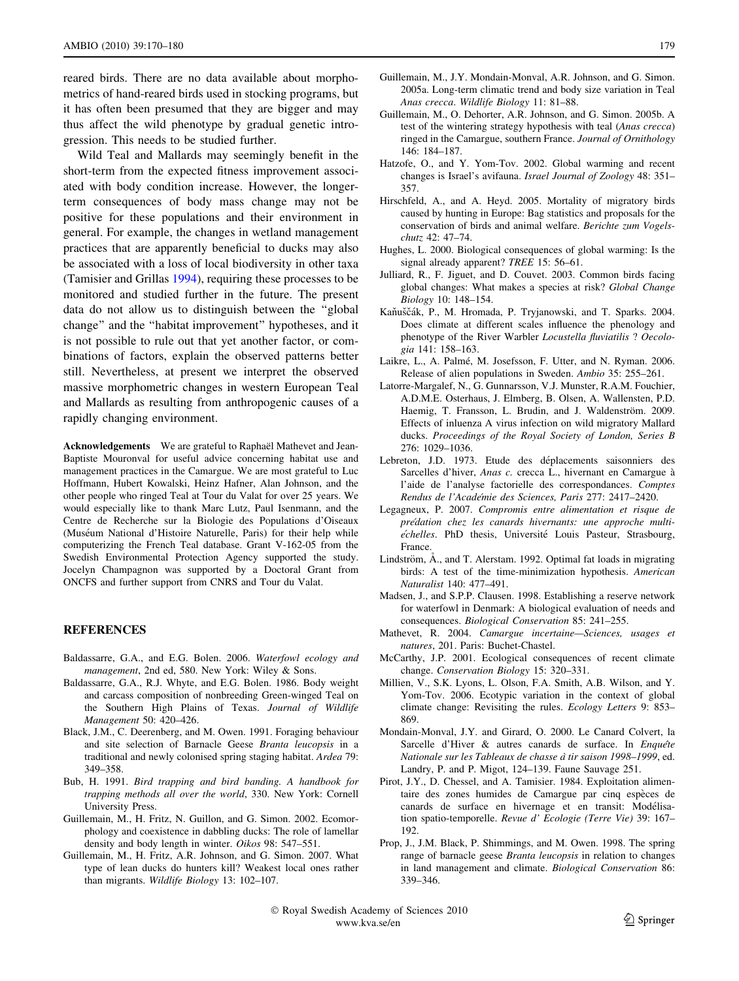<span id="page-9-0"></span>reared birds. There are no data available about morphometrics of hand-reared birds used in stocking programs, but it has often been presumed that they are bigger and may thus affect the wild phenotype by gradual genetic introgression. This needs to be studied further.

Wild Teal and Mallards may seemingly benefit in the short-term from the expected fitness improvement associated with body condition increase. However, the longerterm consequences of body mass change may not be positive for these populations and their environment in general. For example, the changes in wetland management practices that are apparently beneficial to ducks may also be associated with a loss of local biodiversity in other taxa (Tamisier and Grillas [1994\)](#page-10-0), requiring these processes to be monitored and studied further in the future. The present data do not allow us to distinguish between the ''global change'' and the ''habitat improvement'' hypotheses, and it is not possible to rule out that yet another factor, or combinations of factors, explain the observed patterns better still. Nevertheless, at present we interpret the observed massive morphometric changes in western European Teal and Mallards as resulting from anthropogenic causes of a rapidly changing environment.

Acknowledgements We are grateful to Raphaël Mathevet and Jean-Baptiste Mouronval for useful advice concerning habitat use and management practices in the Camargue. We are most grateful to Luc Hoffmann, Hubert Kowalski, Heinz Hafner, Alan Johnson, and the other people who ringed Teal at Tour du Valat for over 25 years. We would especially like to thank Marc Lutz, Paul Isenmann, and the Centre de Recherche sur la Biologie des Populations d'Oiseaux (Muséum National d'Histoire Naturelle, Paris) for their help while computerizing the French Teal database. Grant V-162-05 from the Swedish Environmental Protection Agency supported the study. Jocelyn Champagnon was supported by a Doctoral Grant from ONCFS and further support from CNRS and Tour du Valat.

## REFERENCES

- Baldassarre, G.A., and E.G. Bolen. 2006. Waterfowl ecology and management, 2nd ed, 580. New York: Wiley & Sons.
- Baldassarre, G.A., R.J. Whyte, and E.G. Bolen. 1986. Body weight and carcass composition of nonbreeding Green-winged Teal on the Southern High Plains of Texas. Journal of Wildlife Management 50: 420–426.
- Black, J.M., C. Deerenberg, and M. Owen. 1991. Foraging behaviour and site selection of Barnacle Geese Branta leucopsis in a traditional and newly colonised spring staging habitat. Ardea 79: 349–358.
- Bub, H. 1991. Bird trapping and bird banding. A handbook for trapping methods all over the world, 330. New York: Cornell University Press.
- Guillemain, M., H. Fritz, N. Guillon, and G. Simon. 2002. Ecomorphology and coexistence in dabbling ducks: The role of lamellar density and body length in winter. Oikos 98: 547–551.
- Guillemain, M., H. Fritz, A.R. Johnson, and G. Simon. 2007. What type of lean ducks do hunters kill? Weakest local ones rather than migrants. Wildlife Biology 13: 102–107.
- Guillemain, M., J.Y. Mondain-Monval, A.R. Johnson, and G. Simon. 2005a. Long-term climatic trend and body size variation in Teal Anas crecca. Wildlife Biology 11: 81–88.
- Guillemain, M., O. Dehorter, A.R. Johnson, and G. Simon. 2005b. A test of the wintering strategy hypothesis with teal (Anas crecca) ringed in the Camargue, southern France. Journal of Ornithology 146: 184–187.
- Hatzofe, O., and Y. Yom-Tov. 2002. Global warming and recent changes is Israel's avifauna. Israel Journal of Zoology 48: 351– 357.
- Hirschfeld, A., and A. Heyd. 2005. Mortality of migratory birds caused by hunting in Europe: Bag statistics and proposals for the conservation of birds and animal welfare. Berichte zum Vogelschutz 42: 47–74.
- Hughes, L. 2000. Biological consequences of global warming: Is the signal already apparent? TREE 15: 56–61.
- Julliard, R., F. Jiguet, and D. Couvet. 2003. Common birds facing global changes: What makes a species at risk? Global Change Biology 10: 148–154.
- Kaňuščák, P., M. Hromada, P. Tryjanowski, and T. Sparks. 2004. Does climate at different scales influence the phenology and phenotype of the River Warbler Locustella fluviatilis ? Oecologia 141: 158–163.
- Laikre, L., A. Palmé, M. Josefsson, F. Utter, and N. Ryman. 2006. Release of alien populations in Sweden. Ambio 35: 255–261.
- Latorre-Margalef, N., G. Gunnarsson, V.J. Munster, R.A.M. Fouchier, A.D.M.E. Osterhaus, J. Elmberg, B. Olsen, A. Wallensten, P.D. Haemig, T. Fransson, L. Brudin, and J. Waldenström. 2009. Effects of inluenza A virus infection on wild migratory Mallard ducks. Proceedings of the Royal Society of London, Series B 276: 1029–1036.
- Lebreton, J.D. 1973. Etude des déplacements saisonniers des Sarcelles d'hiver, Anas c. crecca L., hivernant en Camargue à l'aide de l'analyse factorielle des correspondances. Comptes Rendus de l'Académie des Sciences, Paris 277: 2417-2420.
- Legagneux, P. 2007. Compromis entre alimentation et risque de prédation chez les canards hivernants: une approche multiechelles. PhD thesis, Université Louis Pasteur, Strasbourg, France.
- Lindström,  $\AA$ ., and T. Alerstam. 1992. Optimal fat loads in migrating birds: A test of the time-minimization hypothesis. American Naturalist 140: 477–491.
- Madsen, J., and S.P.P. Clausen. 1998. Establishing a reserve network for waterfowl in Denmark: A biological evaluation of needs and consequences. Biological Conservation 85: 241–255.
- Mathevet, R. 2004. Camargue incertaine—Sciences, usages et natures, 201. Paris: Buchet-Chastel.
- McCarthy, J.P. 2001. Ecological consequences of recent climate change. Conservation Biology 15: 320–331.
- Millien, V., S.K. Lyons, L. Olson, F.A. Smith, A.B. Wilson, and Y. Yom-Tov. 2006. Ecotypic variation in the context of global climate change: Revisiting the rules. Ecology Letters 9: 853– 869.
- Mondain-Monval, J.Y. and Girard, O. 2000. Le Canard Colvert, la Sarcelle d'Hiver & autres canards de surface. In Enquête Nationale sur les Tableaux de chasse a` tir saison 1998–1999, ed. Landry, P. and P. Migot, 124–139. Faune Sauvage 251.
- Pirot, J.Y., D. Chessel, and A. Tamisier. 1984. Exploitation alimentaire des zones humides de Camargue par cinq espèces de canards de surface en hivernage et en transit: Modélisation spatio-temporelle. Revue d' Ecologie (Terre Vie) 39: 167– 192.
- Prop, J., J.M. Black, P. Shimmings, and M. Owen. 1998. The spring range of barnacle geese Branta leucopsis in relation to changes in land management and climate. Biological Conservation 86: 339–346.